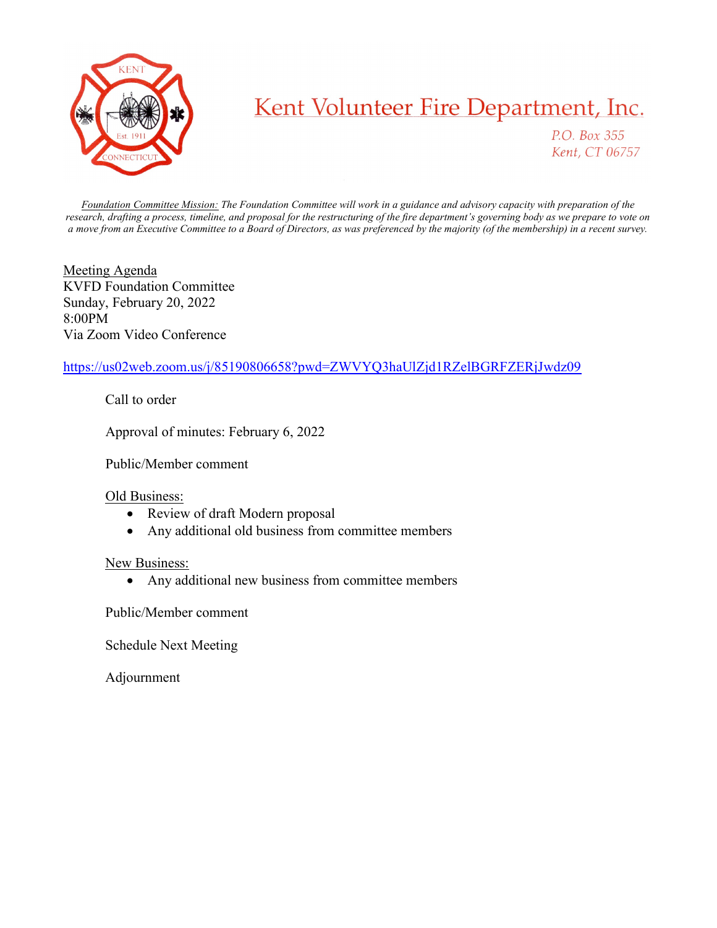

## Kent Volunteer Fire Department, Inc.

P.O. Box 355 Kent, CT 06757

Foundation Committee Mission: The Foundation Committee will work in a guidance and advisory capacity with preparation of the research, drafting a process, timeline, and proposal for the restructuring of the fire department's governing body as we prepare to vote on a move from an Executive Committee to a Board of Directors, as was preferenced by the majority (of the membership) in a recent survey.

Meeting Agenda KVFD Foundation Committee Sunday, February 20, 2022 8:00PM Via Zoom Video Conference

## https://us02web.zoom.us/j/85190806658?pwd=ZWVYQ3haUlZjd1RZelBGRFZERjJwdz09

Call to order

Approval of minutes: February 6, 2022

Public/Member comment

## Old Business:

- Review of draft Modern proposal
- Any additional old business from committee members

## New Business:

• Any additional new business from committee members

Public/Member comment

Schedule Next Meeting

Adjournment